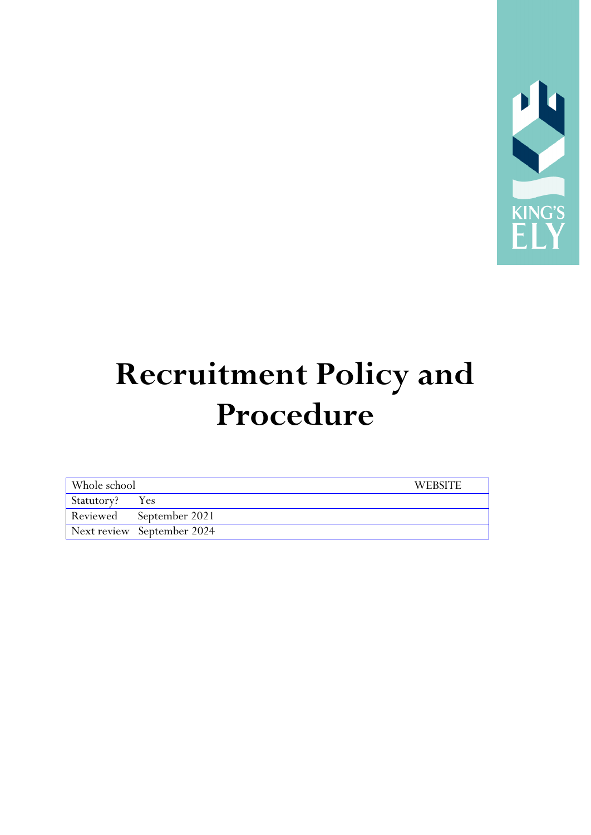

# **Recruitment Policy and Procedure**

| Whole school   |                            | <b>WEBSITE</b> |
|----------------|----------------------------|----------------|
| Statutory? Yes |                            |                |
|                | Reviewed September 2021    |                |
|                | Next review September 2024 |                |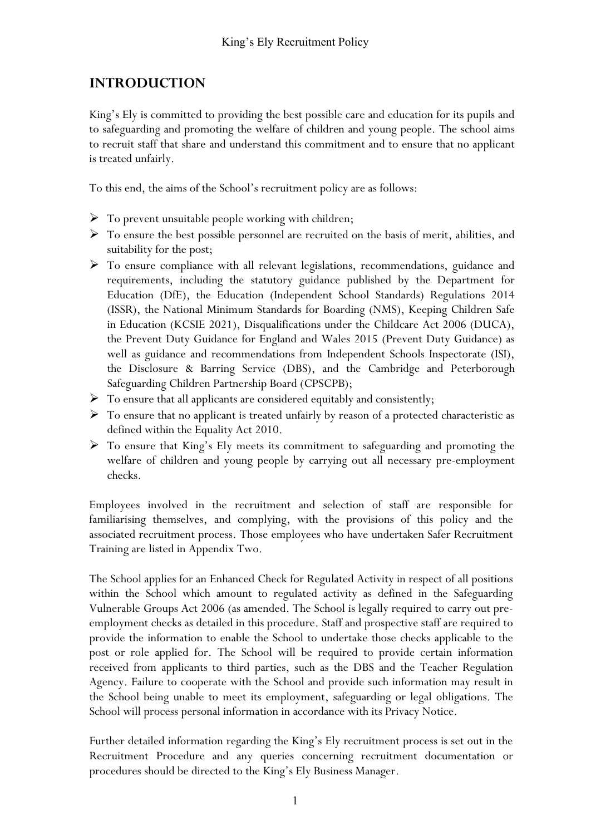# **INTRODUCTION**

King's Ely is committed to providing the best possible care and education for its pupils and to safeguarding and promoting the welfare of children and young people. The school aims to recruit staff that share and understand this commitment and to ensure that no applicant is treated unfairly.

To this end, the aims of the School's recruitment policy are as follows:

- $\triangleright$  To prevent unsuitable people working with children;
- $\triangleright$  To ensure the best possible personnel are recruited on the basis of merit, abilities, and suitability for the post;
- To ensure compliance with all relevant legislations, recommendations, guidance and requirements, including the statutory guidance published by the Department for Education (DfE), the Education (Independent School Standards) Regulations 2014 (ISSR), the National Minimum Standards for Boarding (NMS), Keeping Children Safe in Education (KCSIE 2021), Disqualifications under the Childcare Act 2006 (DUCA), the Prevent Duty Guidance for England and Wales 2015 (Prevent Duty Guidance) as well as guidance and recommendations from Independent Schools Inspectorate (ISI), the Disclosure & Barring Service (DBS), and the Cambridge and Peterborough Safeguarding Children Partnership Board (CPSCPB);
- $\triangleright$  To ensure that all applicants are considered equitably and consistently;
- $\triangleright$  To ensure that no applicant is treated unfairly by reason of a protected characteristic as defined within the Equality Act 2010.
- To ensure that King's Ely meets its commitment to safeguarding and promoting the welfare of children and young people by carrying out all necessary pre-employment checks.

Employees involved in the recruitment and selection of staff are responsible for familiarising themselves, and complying, with the provisions of this policy and the associated recruitment process. Those employees who have undertaken Safer Recruitment Training are listed in Appendix Two.

The School applies for an Enhanced Check for Regulated Activity in respect of all positions within the School which amount to regulated activity as defined in the Safeguarding Vulnerable Groups Act 2006 (as amended. The School is legally required to carry out preemployment checks as detailed in this procedure. Staff and prospective staff are required to provide the information to enable the School to undertake those checks applicable to the post or role applied for. The School will be required to provide certain information received from applicants to third parties, such as the DBS and the Teacher Regulation Agency. Failure to cooperate with the School and provide such information may result in the School being unable to meet its employment, safeguarding or legal obligations. The School will process personal information in accordance with its Privacy Notice.

Further detailed information regarding the King's Ely recruitment process is set out in the Recruitment Procedure and any queries concerning recruitment documentation or procedures should be directed to the King's Ely Business Manager.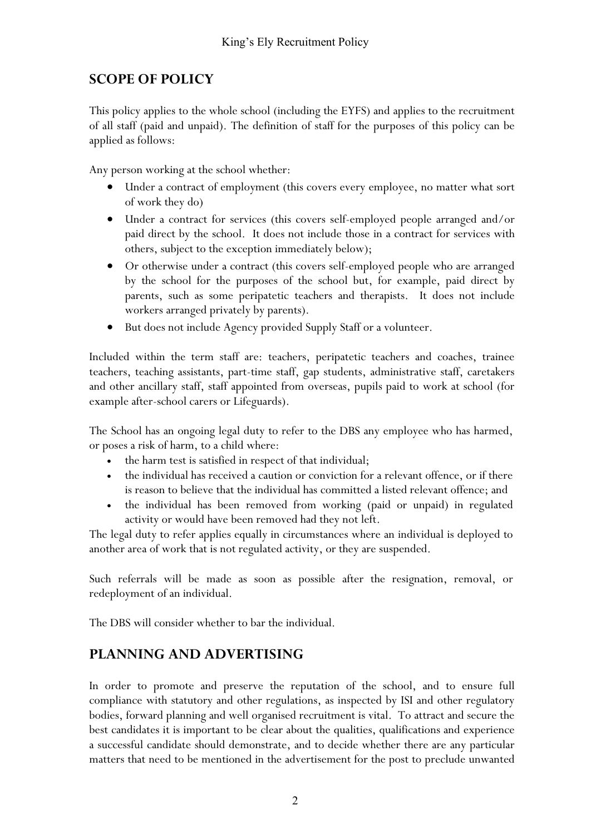## **SCOPE OF POLICY**

This policy applies to the whole school (including the EYFS) and applies to the recruitment of all staff (paid and unpaid). The definition of staff for the purposes of this policy can be applied as follows:

Any person working at the school whether:

- Under a contract of employment (this covers every employee, no matter what sort of work they do)
- Under a contract for services (this covers self-employed people arranged and/or paid direct by the school. It does not include those in a contract for services with others, subject to the exception immediately below);
- Or otherwise under a contract (this covers self-employed people who are arranged by the school for the purposes of the school but, for example, paid direct by parents, such as some peripatetic teachers and therapists. It does not include workers arranged privately by parents).
- But does not include Agency provided Supply Staff or a volunteer.

Included within the term staff are: teachers, peripatetic teachers and coaches, trainee teachers, teaching assistants, part-time staff, gap students, administrative staff, caretakers and other ancillary staff, staff appointed from overseas, pupils paid to work at school (for example after-school carers or Lifeguards).

The School has an ongoing legal duty to refer to the DBS any employee who has harmed, or poses a risk of harm, to a child where:

- the harm test is satisfied in respect of that individual;
- the individual has received a caution or conviction for a relevant offence, or if there is reason to believe that the individual has committed a listed relevant offence; and
- the individual has been removed from working (paid or unpaid) in regulated activity or would have been removed had they not left.

The legal duty to refer applies equally in circumstances where an individual is deployed to another area of work that is not regulated activity, or they are suspended.

Such referrals will be made as soon as possible after the resignation, removal, or redeployment of an individual.

The DBS will consider whether to bar the individual.

## **PLANNING AND ADVERTISING**

In order to promote and preserve the reputation of the school, and to ensure full compliance with statutory and other regulations, as inspected by ISI and other regulatory bodies, forward planning and well organised recruitment is vital. To attract and secure the best candidates it is important to be clear about the qualities, qualifications and experience a successful candidate should demonstrate, and to decide whether there are any particular matters that need to be mentioned in the advertisement for the post to preclude unwanted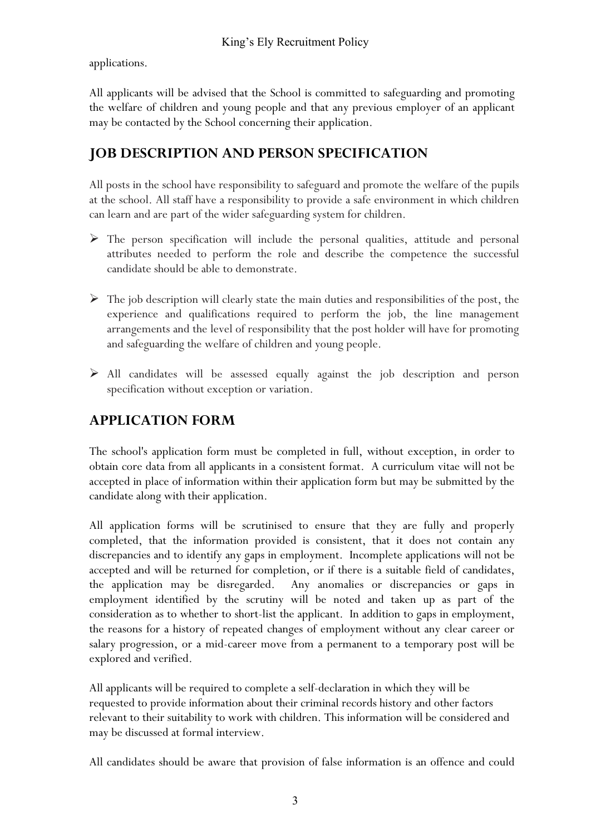applications.

All applicants will be advised that the School is committed to safeguarding and promoting the welfare of children and young people and that any previous employer of an applicant may be contacted by the School concerning their application.

# **JOB DESCRIPTION AND PERSON SPECIFICATION**

All posts in the school have responsibility to safeguard and promote the welfare of the pupils at the school. All staff have a responsibility to provide a safe environment in which children can learn and are part of the wider safeguarding system for children.

- The person specification will include the personal qualities, attitude and personal attributes needed to perform the role and describe the competence the successful candidate should be able to demonstrate.
- $\triangleright$  The job description will clearly state the main duties and responsibilities of the post, the experience and qualifications required to perform the job, the line management arrangements and the level of responsibility that the post holder will have for promoting and safeguarding the welfare of children and young people.
- $\triangleright$  All candidates will be assessed equally against the job description and person specification without exception or variation.

# **APPLICATION FORM**

The school's application form must be completed in full, without exception, in order to obtain core data from all applicants in a consistent format. A curriculum vitae will not be accepted in place of information within their application form but may be submitted by the candidate along with their application.

All application forms will be scrutinised to ensure that they are fully and properly completed, that the information provided is consistent, that it does not contain any discrepancies and to identify any gaps in employment. Incomplete applications will not be accepted and will be returned for completion, or if there is a suitable field of candidates, the application may be disregarded. Any anomalies or discrepancies or gaps in employment identified by the scrutiny will be noted and taken up as part of the consideration as to whether to short-list the applicant. In addition to gaps in employment, the reasons for a history of repeated changes of employment without any clear career or salary progression, or a mid-career move from a permanent to a temporary post will be explored and verified.

All applicants will be required to complete a self-declaration in which they will be requested to provide information about their criminal records history and other factors relevant to their suitability to work with children. This information will be considered and may be discussed at formal interview.

All candidates should be aware that provision of false information is an offence and could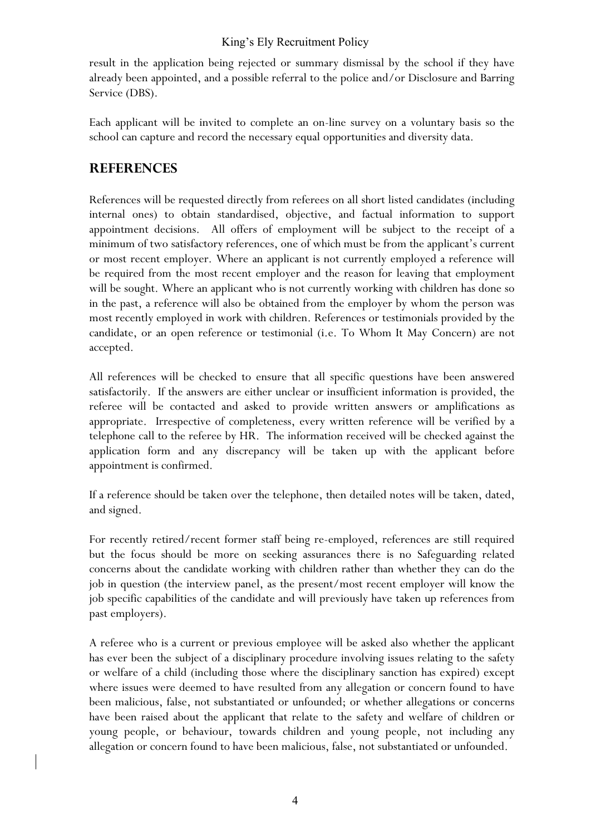result in the application being rejected or summary dismissal by the school if they have already been appointed, and a possible referral to the police and/or Disclosure and Barring Service (DBS).

Each applicant will be invited to complete an on-line survey on a voluntary basis so the school can capture and record the necessary equal opportunities and diversity data.

## **REFERENCES**

References will be requested directly from referees on all short listed candidates (including internal ones) to obtain standardised, objective, and factual information to support appointment decisions. All offers of employment will be subject to the receipt of a minimum of two satisfactory references, one of which must be from the applicant's current or most recent employer. Where an applicant is not currently employed a reference will be required from the most recent employer and the reason for leaving that employment will be sought. Where an applicant who is not currently working with children has done so in the past, a reference will also be obtained from the employer by whom the person was most recently employed in work with children. References or testimonials provided by the candidate, or an open reference or testimonial (i.e. To Whom It May Concern) are not accepted.

All references will be checked to ensure that all specific questions have been answered satisfactorily. If the answers are either unclear or insufficient information is provided, the referee will be contacted and asked to provide written answers or amplifications as appropriate. Irrespective of completeness, every written reference will be verified by a telephone call to the referee by HR. The information received will be checked against the application form and any discrepancy will be taken up with the applicant before appointment is confirmed.

If a reference should be taken over the telephone, then detailed notes will be taken, dated, and signed.

For recently retired/recent former staff being re-employed, references are still required but the focus should be more on seeking assurances there is no Safeguarding related concerns about the candidate working with children rather than whether they can do the job in question (the interview panel, as the present/most recent employer will know the job specific capabilities of the candidate and will previously have taken up references from past employers).

A referee who is a current or previous employee will be asked also whether the applicant has ever been the subject of a disciplinary procedure involving issues relating to the safety or welfare of a child (including those where the disciplinary sanction has expired) except where issues were deemed to have resulted from any allegation or concern found to have been malicious, false, not substantiated or unfounded; or whether allegations or concerns have been raised about the applicant that relate to the safety and welfare of children or young people, or behaviour, towards children and young people, not including any allegation or concern found to have been malicious, false, not substantiated or unfounded.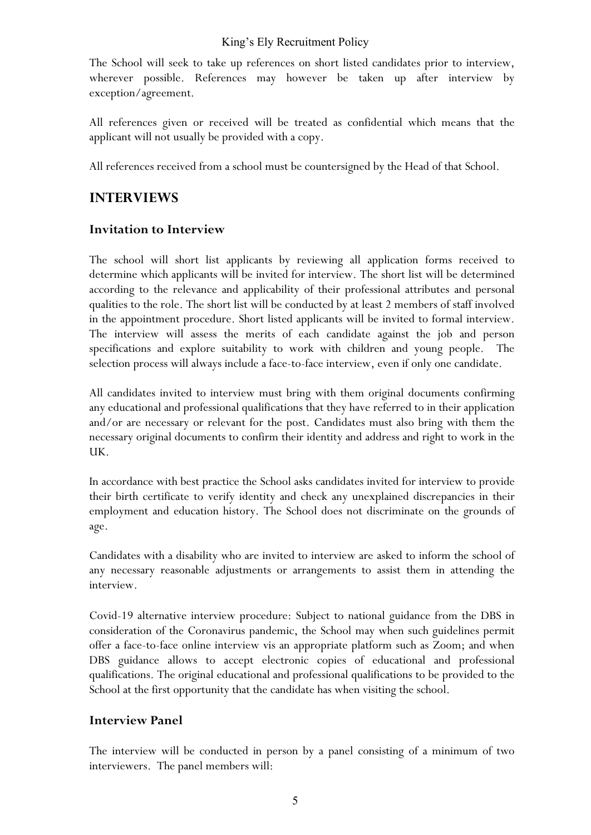The School will seek to take up references on short listed candidates prior to interview, wherever possible. References may however be taken up after interview by exception/agreement.

All references given or received will be treated as confidential which means that the applicant will not usually be provided with a copy.

All references received from a school must be countersigned by the Head of that School.

## **INTERVIEWS**

#### **Invitation to Interview**

The school will short list applicants by reviewing all application forms received to determine which applicants will be invited for interview. The short list will be determined according to the relevance and applicability of their professional attributes and personal qualities to the role. The short list will be conducted by at least 2 members of staff involved in the appointment procedure. Short listed applicants will be invited to formal interview. The interview will assess the merits of each candidate against the job and person specifications and explore suitability to work with children and young people. The selection process will always include a face-to-face interview, even if only one candidate.

All candidates invited to interview must bring with them original documents confirming any educational and professional qualifications that they have referred to in their application and/or are necessary or relevant for the post. Candidates must also bring with them the necessary original documents to confirm their identity and address and right to work in the UK.

In accordance with best practice the School asks candidates invited for interview to provide their birth certificate to verify identity and check any unexplained discrepancies in their employment and education history. The School does not discriminate on the grounds of age.

Candidates with a disability who are invited to interview are asked to inform the school of any necessary reasonable adjustments or arrangements to assist them in attending the interview.

Covid-19 alternative interview procedure: Subject to national guidance from the DBS in consideration of the Coronavirus pandemic, the School may when such guidelines permit offer a face-to-face online interview vis an appropriate platform such as Zoom; and when DBS guidance allows to accept electronic copies of educational and professional qualifications. The original educational and professional qualifications to be provided to the School at the first opportunity that the candidate has when visiting the school.

#### **Interview Panel**

The interview will be conducted in person by a panel consisting of a minimum of two interviewers. The panel members will: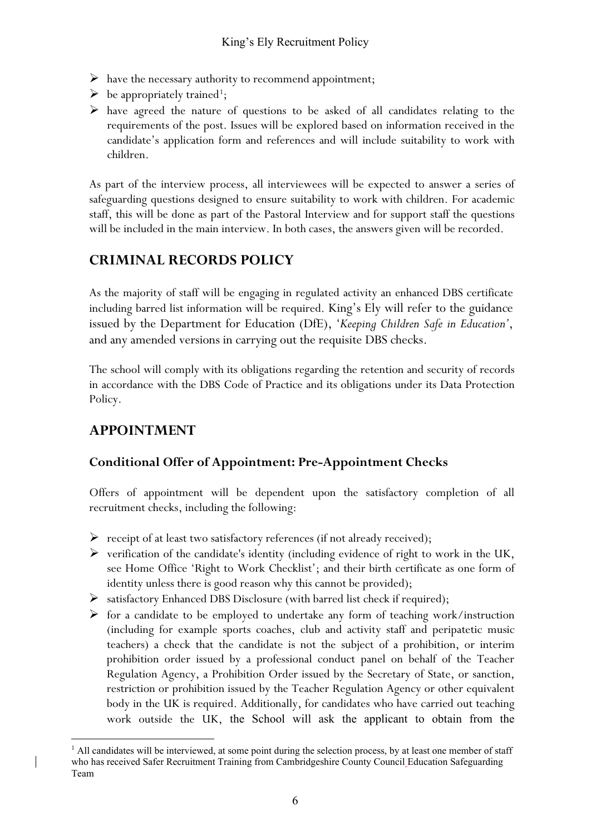- $\triangleright$  have the necessary authority to recommend appointment;
- $\triangleright$  be appropriately trained<sup>[1](#page-6-0)</sup>;
- have agreed the nature of questions to be asked of all candidates relating to the requirements of the post. Issues will be explored based on information received in the candidate's application form and references and will include suitability to work with children.

As part of the interview process, all interviewees will be expected to answer a series of safeguarding questions designed to ensure suitability to work with children. For academic staff, this will be done as part of the Pastoral Interview and for support staff the questions will be included in the main interview. In both cases, the answers given will be recorded.

# **CRIMINAL RECORDS POLICY**

As the majority of staff will be engaging in regulated activity an enhanced DBS certificate including barred list information will be required. King's Ely will refer to the guidance issued by the Department for Education (DfE), '*Keeping Children Safe in Education'*, and any amended versions in carrying out the requisite DBS checks.

The school will comply with its obligations regarding the retention and security of records in accordance with the DBS Code of Practice and its obligations under its Data Protection Policy.

# **APPOINTMENT**

## **Conditional Offer of Appointment: Pre-Appointment Checks**

Offers of appointment will be dependent upon the satisfactory completion of all recruitment checks, including the following:

- $\triangleright$  receipt of at least two satisfactory references (if not already received);
- $\triangleright$  verification of the candidate's identity (including evidence of right to work in the UK, see Home Office 'Right to Work Checklist'; and their birth certificate as one form of identity unless there is good reason why this cannot be provided);
- satisfactory Enhanced DBS Disclosure (with barred list check if required);
- $\triangleright$  for a candidate to be employed to undertake any form of teaching work/instruction (including for example sports coaches, club and activity staff and peripatetic music teachers) a check that the candidate is not the subject of a prohibition, or interim prohibition order issued by a professional conduct panel on behalf of the Teacher Regulation Agency, a Prohibition Order issued by the Secretary of State, or sanction, restriction or prohibition issued by the Teacher Regulation Agency or other equivalent body in the UK is required. Additionally, for candidates who have carried out teaching work outside the UK, the School will ask the applicant to obtain from the

<span id="page-6-0"></span> $<sup>1</sup>$  All candidates will be interviewed, at some point during the selection process, by at least one member of staff</sup> who has received Safer Recruitment Training from Cambridgeshire County Council Education Safeguarding Team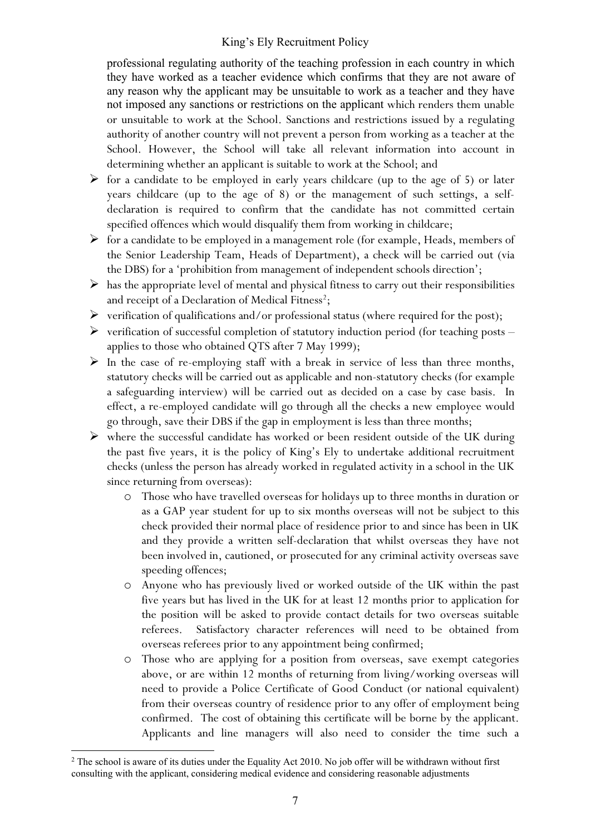professional regulating authority of the teaching profession in each country in which they have worked as a teacher evidence which confirms that they are not aware of any reason why the applicant may be unsuitable to work as a teacher and they have not imposed any sanctions or restrictions on the applicant which renders them unable or unsuitable to work at the School. Sanctions and restrictions issued by a regulating authority of another country will not prevent a person from working as a teacher at the School. However, the School will take all relevant information into account in determining whether an applicant is suitable to work at the School; and

- $\triangleright$  for a candidate to be employed in early years childcare (up to the age of 5) or later years childcare (up to the age of 8) or the management of such settings, a selfdeclaration is required to confirm that the candidate has not committed certain specified offences which would disqualify them from working in childcare;
- $\triangleright$  for a candidate to be employed in a management role (for example, Heads, members of the Senior Leadership Team, Heads of Department), a check will be carried out (via the DBS) for a 'prohibition from management of independent schools direction';
- $\triangleright$  has the appropriate level of mental and physical fitness to carry out their responsibilities and receipt of a Declaration of Medical Fitness<sup>[2](#page-7-0)</sup>;
- $\triangleright$  verification of qualifications and/or professional status (where required for the post);
- $\triangleright$  verification of successful completion of statutory induction period (for teaching posts applies to those who obtained QTS after 7 May 1999);
- $\triangleright$  In the case of re-employing staff with a break in service of less than three months, statutory checks will be carried out as applicable and non-statutory checks (for example a safeguarding interview) will be carried out as decided on a case by case basis. In effect, a re-employed candidate will go through all the checks a new employee would go through, save their DBS if the gap in employment is less than three months;
- $\triangleright$  where the successful candidate has worked or been resident outside of the UK during the past five years, it is the policy of King's Ely to undertake additional recruitment checks (unless the person has already worked in regulated activity in a school in the UK since returning from overseas):
	- o Those who have travelled overseas for holidays up to three months in duration or as a GAP year student for up to six months overseas will not be subject to this check provided their normal place of residence prior to and since has been in UK and they provide a written self-declaration that whilst overseas they have not been involved in, cautioned, or prosecuted for any criminal activity overseas save speeding offences;
	- o Anyone who has previously lived or worked outside of the UK within the past five years but has lived in the UK for at least 12 months prior to application for the position will be asked to provide contact details for two overseas suitable referees. Satisfactory character references will need to be obtained from overseas referees prior to any appointment being confirmed;
	- o Those who are applying for a position from overseas, save exempt categories above, or are within 12 months of returning from living/working overseas will need to provide a Police Certificate of Good Conduct (or national equivalent) from their overseas country of residence prior to any offer of employment being confirmed. The cost of obtaining this certificate will be borne by the applicant. Applicants and line managers will also need to consider the time such a

<span id="page-7-0"></span><sup>&</sup>lt;sup>2</sup> The school is aware of its duties under the Equality Act 2010. No job offer will be withdrawn without first consulting with the applicant, considering medical evidence and considering reasonable adjustments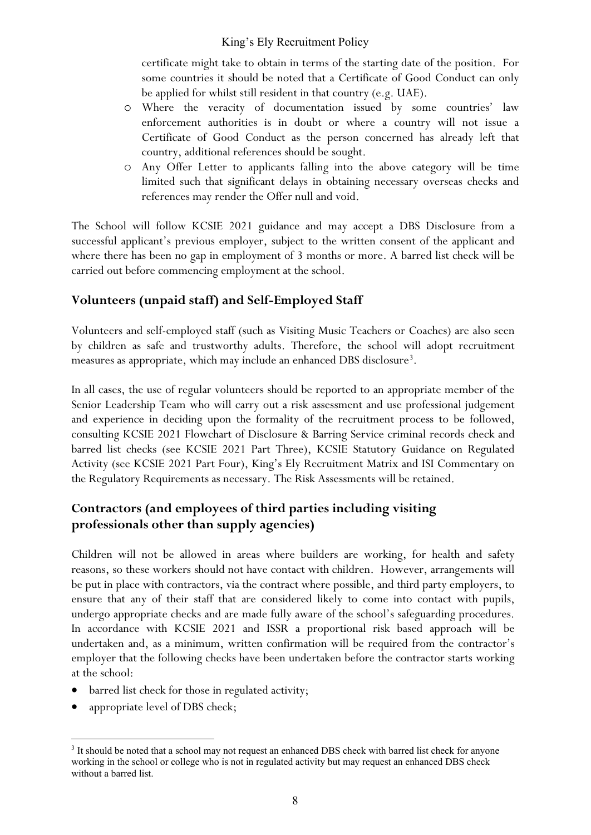certificate might take to obtain in terms of the starting date of the position. For some countries it should be noted that a Certificate of Good Conduct can only be applied for whilst still resident in that country (e.g. UAE).

- o Where the veracity of documentation issued by some countries' law enforcement authorities is in doubt or where a country will not issue a Certificate of Good Conduct as the person concerned has already left that country, additional references should be sought.
- o Any Offer Letter to applicants falling into the above category will be time limited such that significant delays in obtaining necessary overseas checks and references may render the Offer null and void.

The School will follow KCSIE 2021 guidance and may accept a DBS Disclosure from a successful applicant's previous employer, subject to the written consent of the applicant and where there has been no gap in employment of 3 months or more. A barred list check will be carried out before commencing employment at the school.

## **Volunteers (unpaid staff) and Self-Employed Staff**

Volunteers and self-employed staff (such as Visiting Music Teachers or Coaches) are also seen by children as safe and trustworthy adults. Therefore, the school will adopt recruitment measures as appropriate, which may include an enhanced DBS disclosure<sup>[3](#page-8-0)</sup>.

In all cases, the use of regular volunteers should be reported to an appropriate member of the Senior Leadership Team who will carry out a risk assessment and use professional judgement and experience in deciding upon the formality of the recruitment process to be followed, consulting KCSIE 2021 Flowchart of Disclosure & Barring Service criminal records check and barred list checks (see KCSIE 2021 Part Three), KCSIE Statutory Guidance on Regulated Activity (see KCSIE 2021 Part Four), King's Ely Recruitment Matrix and ISI Commentary on the Regulatory Requirements as necessary. The Risk Assessments will be retained.

## **Contractors (and employees of third parties including visiting professionals other than supply agencies)**

Children will not be allowed in areas where builders are working, for health and safety reasons, so these workers should not have contact with children. However, arrangements will be put in place with contractors, via the contract where possible, and third party employers, to ensure that any of their staff that are considered likely to come into contact with pupils, undergo appropriate checks and are made fully aware of the school's safeguarding procedures. In accordance with KCSIE 2021 and ISSR a proportional risk based approach will be undertaken and, as a minimum, written confirmation will be required from the contractor's employer that the following checks have been undertaken before the contractor starts working at the school:

- barred list check for those in regulated activity;
- appropriate level of DBS check;

<span id="page-8-0"></span><sup>&</sup>lt;sup>3</sup> It should be noted that a school may not request an enhanced DBS check with barred list check for anyone working in the school or college who is not in regulated activity but may request an enhanced DBS check without a barred list.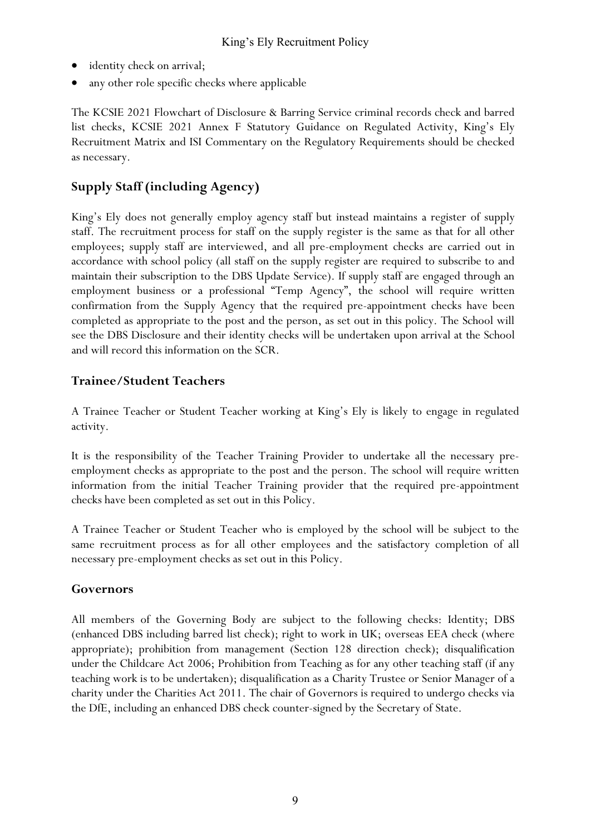- identity check on arrival;
- any other role specific checks where applicable

The KCSIE 2021 Flowchart of Disclosure & Barring Service criminal records check and barred list checks, KCSIE 2021 Annex F Statutory Guidance on Regulated Activity, King's Ely Recruitment Matrix and ISI Commentary on the Regulatory Requirements should be checked as necessary.

## **Supply Staff (including Agency)**

King's Ely does not generally employ agency staff but instead maintains a register of supply staff. The recruitment process for staff on the supply register is the same as that for all other employees; supply staff are interviewed, and all pre-employment checks are carried out in accordance with school policy (all staff on the supply register are required to subscribe to and maintain their subscription to the DBS Update Service). If supply staff are engaged through an employment business or a professional "Temp Agency", the school will require written confirmation from the Supply Agency that the required pre-appointment checks have been completed as appropriate to the post and the person, as set out in this policy. The School will see the DBS Disclosure and their identity checks will be undertaken upon arrival at the School and will record this information on the SCR.

### **Trainee/Student Teachers**

A Trainee Teacher or Student Teacher working at King's Ely is likely to engage in regulated activity.

It is the responsibility of the Teacher Training Provider to undertake all the necessary preemployment checks as appropriate to the post and the person. The school will require written information from the initial Teacher Training provider that the required pre-appointment checks have been completed as set out in this Policy.

A Trainee Teacher or Student Teacher who is employed by the school will be subject to the same recruitment process as for all other employees and the satisfactory completion of all necessary pre-employment checks as set out in this Policy.

## **Governors**

All members of the Governing Body are subject to the following checks: Identity; DBS (enhanced DBS including barred list check); right to work in UK; overseas EEA check (where appropriate); prohibition from management (Section 128 direction check); disqualification under the Childcare Act 2006; Prohibition from Teaching as for any other teaching staff (if any teaching work is to be undertaken); disqualification as a Charity Trustee or Senior Manager of a charity under the Charities Act 2011. The chair of Governors is required to undergo checks via the DfE, including an enhanced DBS check counter-signed by the Secretary of State.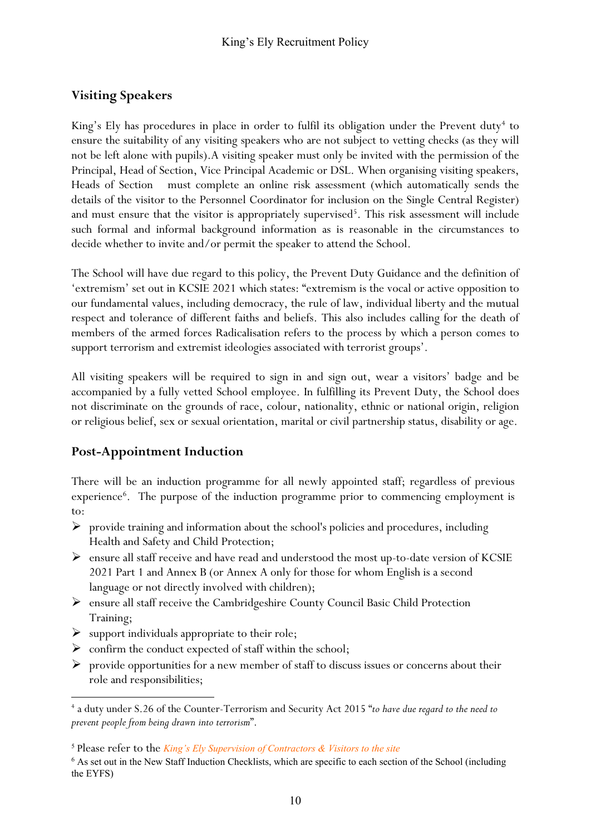## **Visiting Speakers**

King's Ely has procedures in place in order to fulfil its obligation under the Prevent duty<sup>[4](#page-10-0)</sup> to ensure the suitability of any visiting speakers who are not subject to vetting checks (as they will not be left alone with pupils).A visiting speaker must only be invited with the permission of the Principal, Head of Section, Vice Principal Academic or DSL. When organising visiting speakers, Heads of Section must complete an online risk assessment (which automatically sends the details of the visitor to the Personnel Coordinator for inclusion on the Single Central Register) and must ensure that the visitor is appropriately supervised<sup>[5](#page-10-1)</sup>. This risk assessment will include such formal and informal background information as is reasonable in the circumstances to decide whether to invite and/or permit the speaker to attend the School.

The School will have due regard to this policy, the Prevent Duty Guidance and the definition of 'extremism' set out in KCSIE 2021 which states: "extremism is the vocal or active opposition to our fundamental values, including democracy, the rule of law, individual liberty and the mutual respect and tolerance of different faiths and beliefs. This also includes calling for the death of members of the armed forces Radicalisation refers to the process by which a person comes to support terrorism and extremist ideologies associated with terrorist groups'.

All visiting speakers will be required to sign in and sign out, wear a visitors' badge and be accompanied by a fully vetted School employee. In fulfilling its Prevent Duty, the School does not discriminate on the grounds of race, colour, nationality, ethnic or national origin, religion or religious belief, sex or sexual orientation, marital or civil partnership status, disability or age.

## **Post-Appointment Induction**

There will be an induction programme for all newly appointed staff; regardless of previous experience<sup>[6](#page-10-2)</sup>. The purpose of the induction programme prior to commencing employment is to:

- $\triangleright$  provide training and information about the school's policies and procedures, including Health and Safety and Child Protection;
- $\triangleright$  ensure all staff receive and have read and understood the most up-to-date version of KCSIE 2021 Part 1 and Annex B (or Annex A only for those for whom English is a second language or not directly involved with children);
- $\triangleright$  ensure all staff receive the Cambridgeshire County Council Basic Child Protection Training;
- $\triangleright$  support individuals appropriate to their role;
- $\triangleright$  confirm the conduct expected of staff within the school;
- $\triangleright$  provide opportunities for a new member of staff to discuss issues or concerns about their role and responsibilities;

<span id="page-10-0"></span><sup>4</sup> a duty under S.26 of the Counter-Terrorism and Security Act 2015 "*to have due regard to the need to prevent people from being drawn into terrorism*".

<span id="page-10-1"></span><sup>5</sup> Please refer to the *[King's Ely Supervision of Contractors & Visitors to the site](http://firefly.kings-ely.cambs.sch.uk/staff-admin-1/policies)*

<span id="page-10-2"></span><sup>6</sup> As set out in the New Staff Induction Checklists, which are specific to each section of the School (including the EYFS)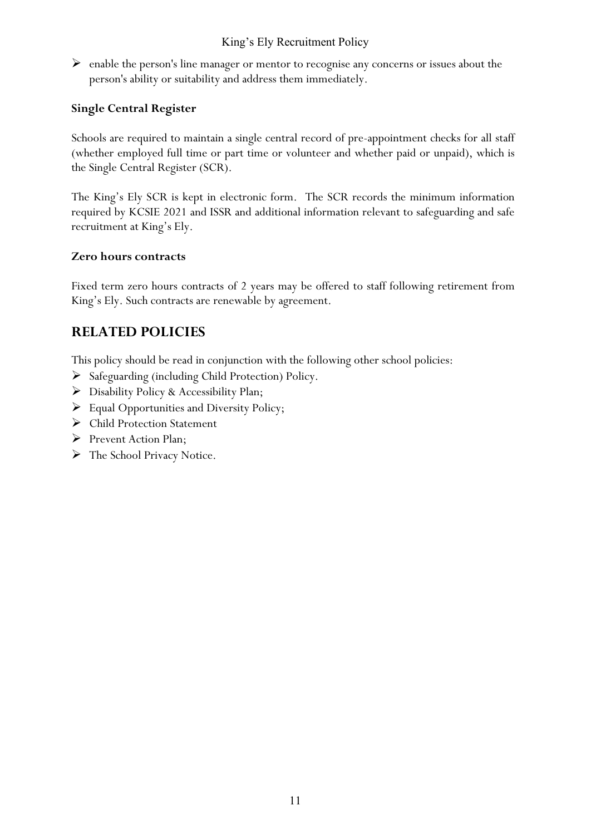$\triangleright$  enable the person's line manager or mentor to recognise any concerns or issues about the person's ability or suitability and address them immediately.

#### **Single Central Register**

Schools are required to maintain a single central record of pre-appointment checks for all staff (whether employed full time or part time or volunteer and whether paid or unpaid), which is the Single Central Register (SCR).

The King's Ely SCR is kept in electronic form. The SCR records the minimum information required by KCSIE 2021 and ISSR and additional information relevant to safeguarding and safe recruitment at King's Ely.

#### **Zero hours contracts**

Fixed term zero hours contracts of 2 years may be offered to staff following retirement from King's Ely. Such contracts are renewable by agreement.

## **RELATED POLICIES**

This policy should be read in conjunction with the following other school policies:

- $\triangleright$  Safeguarding (including Child Protection) Policy.
- Disability Policy & Accessibility Plan;
- $\triangleright$  Equal Opportunities and Diversity Policy;
- Child Protection Statement
- $\triangleright$  Prevent Action Plan;
- > The School Privacy Notice.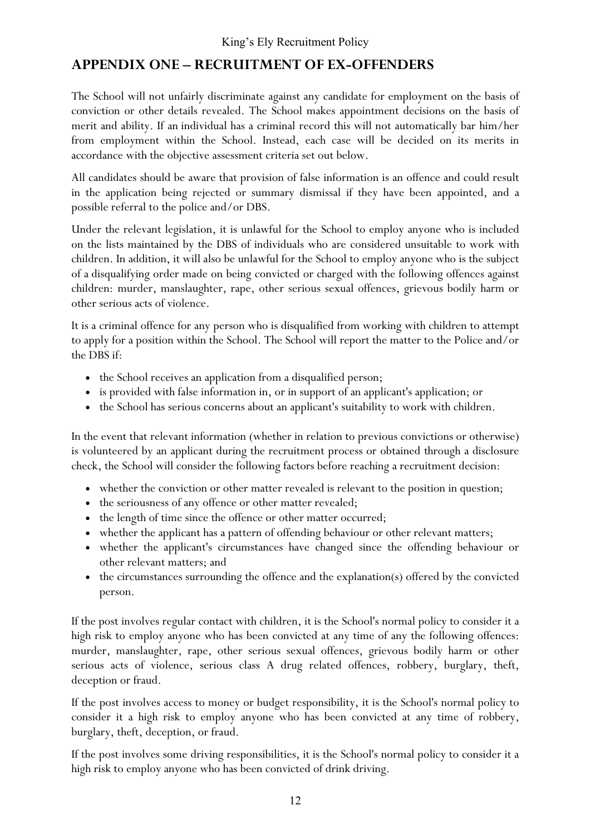## **APPENDIX ONE – RECRUITMENT OF EX-OFFENDERS**

The School will not unfairly discriminate against any candidate for employment on the basis of conviction or other details revealed. The School makes appointment decisions on the basis of merit and ability. If an individual has a criminal record this will not automatically bar him/her from employment within the School. Instead, each case will be decided on its merits in accordance with the objective assessment criteria set out below.

All candidates should be aware that provision of false information is an offence and could result in the application being rejected or summary dismissal if they have been appointed, and a possible referral to the police and/or DBS.

Under the relevant legislation, it is unlawful for the School to employ anyone who is included on the lists maintained by the DBS of individuals who are considered unsuitable to work with children. In addition, it will also be unlawful for the School to employ anyone who is the subject of a disqualifying order made on being convicted or charged with the following offences against children: murder, manslaughter, rape, other serious sexual offences, grievous bodily harm or other serious acts of violence.

It is a criminal offence for any person who is disqualified from working with children to attempt to apply for a position within the School. The School will report the matter to the Police and/or the DBS if:

- the School receives an application from a disqualified person;
- is provided with false information in, or in support of an applicant's application; or
- the School has serious concerns about an applicant's suitability to work with children.

In the event that relevant information (whether in relation to previous convictions or otherwise) is volunteered by an applicant during the recruitment process or obtained through a disclosure check, the School will consider the following factors before reaching a recruitment decision:

- whether the conviction or other matter revealed is relevant to the position in question;
- the seriousness of any offence or other matter revealed;
- the length of time since the offence or other matter occurred;
- whether the applicant has a pattern of offending behaviour or other relevant matters;
- whether the applicant's circumstances have changed since the offending behaviour or other relevant matters; and
- the circumstances surrounding the offence and the explanation(s) offered by the convicted person.

If the post involves regular contact with children, it is the School's normal policy to consider it a high risk to employ anyone who has been convicted at any time of any the following offences: murder, manslaughter, rape, other serious sexual offences, grievous bodily harm or other serious acts of violence, serious class A drug related offences, robbery, burglary, theft, deception or fraud.

If the post involves access to money or budget responsibility, it is the School's normal policy to consider it a high risk to employ anyone who has been convicted at any time of robbery, burglary, theft, deception, or fraud.

If the post involves some driving responsibilities, it is the School's normal policy to consider it a high risk to employ anyone who has been convicted of drink driving.